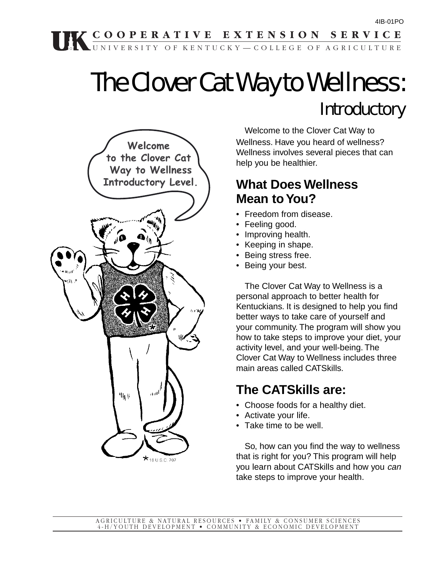# The Clover Cat Way to Wellness: **Introductory**



Welcome to the Clover Cat Way to Wellness. Have you heard of wellness? Wellness involves several pieces that can help you be healthier.

# **What Does Wellness Mean to You?**

- Freedom from disease.
- Feeling good.
- Improving health.
- Keeping in shape.
- Being stress free.
- Being your best.

The Clover Cat Way to Wellness is a personal approach to better health for Kentuckians. It is designed to help you find better ways to take care of yourself and your community. The program will show you how to take steps to improve your diet, your activity level, and your well-being. The Clover Cat Way to Wellness includes three main areas called CATSkills.

# **The CATSkills are:**

- Choose foods for a healthy diet.
- Activate your life.
- Take time to be well.

So, how can you find the way to wellness that is right for you? This program will help you learn about CATSkills and how you can take steps to improve your health.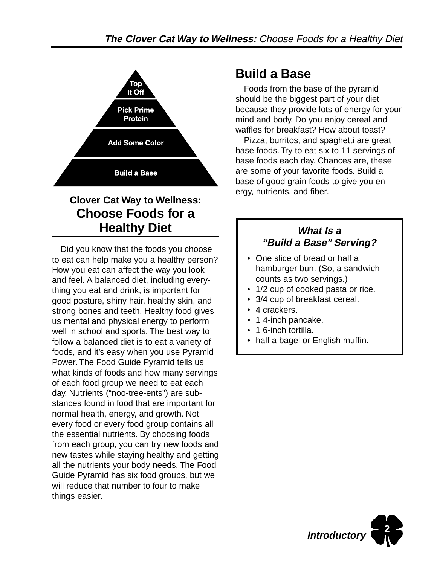

# **Clover Cat Way to Wellness: Choose Foods for a Healthy Diet**

Did you know that the foods you choose to eat can help make you a healthy person? How you eat can affect the way you look and feel. A balanced diet, including everything you eat and drink, is important for good posture, shiny hair, healthy skin, and strong bones and teeth. Healthy food gives us mental and physical energy to perform well in school and sports. The best way to follow a balanced diet is to eat a variety of foods, and it's easy when you use Pyramid Power. The Food Guide Pyramid tells us what kinds of foods and how many servings of each food group we need to eat each day. Nutrients ("noo-tree-ents") are substances found in food that are important for normal health, energy, and growth. Not every food or every food group contains all the essential nutrients. By choosing foods from each group, you can try new foods and new tastes while staying healthy and getting all the nutrients your body needs. The Food Guide Pyramid has six food groups, but we will reduce that number to four to make things easier.

# **Build a Base**

Foods from the base of the pyramid should be the biggest part of your diet because they provide lots of energy for your mind and body. Do you enjoy cereal and waffles for breakfast? How about toast?

Pizza, burritos, and spaghetti are great base foods. Try to eat six to 11 servings of base foods each day. Chances are, these are some of your favorite foods. Build a base of good grain foods to give you energy, nutrients, and fiber.

# **What Is a "Build a Base" Serving?**

- One slice of bread or half a hamburger bun. (So, a sandwich counts as two servings.)
- 1/2 cup of cooked pasta or rice.
- 3/4 cup of breakfast cereal.
- 4 crackers.
- 14-inch pancake.
- 1 6-inch tortilla.
- half a bagel or English muffin.

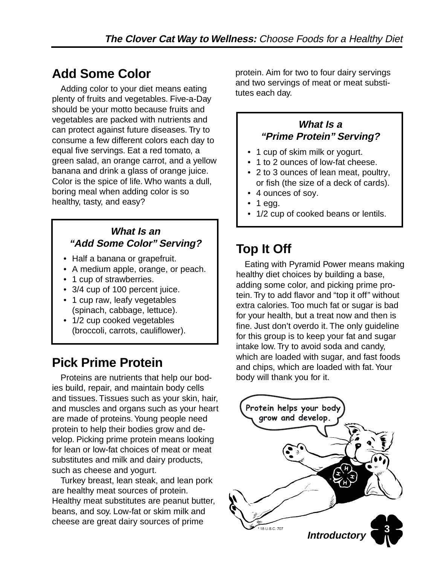# **Add Some Color**

Adding color to your diet means eating plenty of fruits and vegetables. Five-a-Day should be your motto because fruits and vegetables are packed with nutrients and can protect against future diseases. Try to consume a few different colors each day to equal five servings. Eat a red tomato, a green salad, an orange carrot, and a yellow banana and drink a glass of orange juice. Color is the spice of life. Who wants a dull, boring meal when adding color is so healthy, tasty, and easy?

### **What Is an "Add Some Color" Serving?**

- Half a banana or grapefruit.
- A medium apple, orange, or peach.
- 1 cup of strawberries.
- 3/4 cup of 100 percent juice.
- 1 cup raw, leafy vegetables (spinach, cabbage, lettuce).
- 1/2 cup cooked vegetables (broccoli, carrots, cauliflower).

# **Pick Prime Protein**

Proteins are nutrients that help our bodies build, repair, and maintain body cells and tissues. Tissues such as your skin, hair, and muscles and organs such as your heart are made of proteins. Young people need protein to help their bodies grow and develop. Picking prime protein means looking for lean or low-fat choices of meat or meat substitutes and milk and dairy products, such as cheese and yogurt.

Turkey breast, lean steak, and lean pork are healthy meat sources of protein. Healthy meat substitutes are peanut butter, beans, and soy. Low-fat or skim milk and cheese are great dairy sources of prime

protein. Aim for two to four dairy servings and two servings of meat or meat substitutes each day.

### **What Is a "Prime Protein" Serving?**

- 1 cup of skim milk or yogurt.
- 1 to 2 ounces of low-fat cheese.
- 2 to 3 ounces of lean meat, poultry, or fish (the size of a deck of cards).
- 4 ounces of soy.
- 1 egg.
- 1/2 cup of cooked beans or lentils.

# **Top It Off**

Eating with Pyramid Power means making healthy diet choices by building a base, adding some color, and picking prime protein. Try to add flavor and "top it off" without extra calories. Too much fat or sugar is bad for your health, but a treat now and then is fine. Just don't overdo it. The only guideline for this group is to keep your fat and sugar intake low. Try to avoid soda and candy, which are loaded with sugar, and fast foods and chips, which are loaded with fat. Your body will thank you for it.

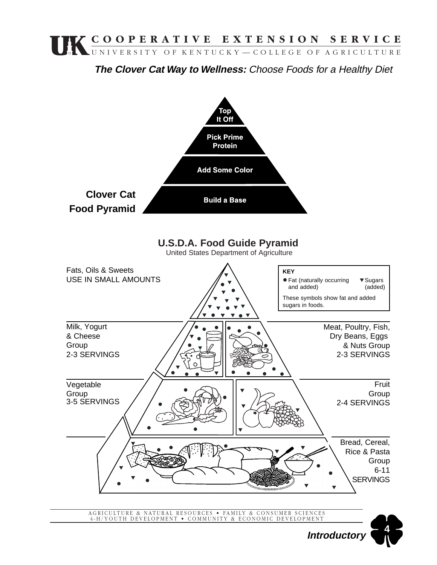

**The Clover Cat Way to Wellness:** Choose Foods for a Healthy Diet



AGRICULTURE & NATURAL RESOURCES • FAMILY & CONSUMER SCIENCES 4-H/YOUTH DEVELOPMENT • COMMUNITY & ECONOMIC DEVELOPMENT

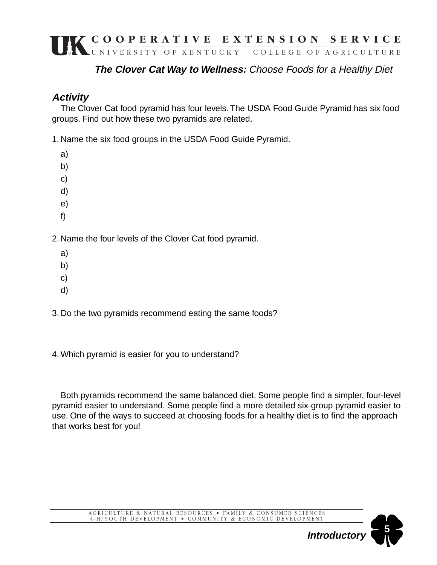# **The Clover Cat Way to Wellness:** Choose Foods for a Healthy Diet

# **Activity**

The Clover Cat food pyramid has four levels. The USDA Food Guide Pyramid has six food groups. Find out how these two pyramids are related.

1. Name the six food groups in the USDA Food Guide Pyramid.

- a)
- b)
- c)
- d)
- e)
- f)

2. Name the four levels of the Clover Cat food pyramid.

- a)
- b)
- c)
- d)

3. Do the two pyramids recommend eating the same foods?

4. Which pyramid is easier for you to understand?

Both pyramids recommend the same balanced diet. Some people find a simpler, four-level pyramid easier to understand. Some people find a more detailed six-group pyramid easier to use. One of the ways to succeed at choosing foods for a healthy diet is to find the approach that works best for you!

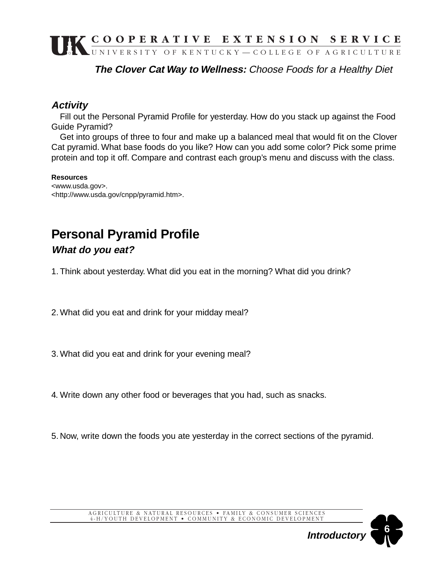**The Clover Cat Way to Wellness:** Choose Foods for a Healthy Diet

### **Activity**

Fill out the Personal Pyramid Profile for yesterday. How do you stack up against the Food Guide Pyramid?

Get into groups of three to four and make up a balanced meal that would fit on the Clover Cat pyramid. What base foods do you like? How can you add some color? Pick some prime protein and top it off. Compare and contrast each group's menu and discuss with the class.

#### **Resources**

<www.usda.gov>. <http://www.usda.gov/cnpp/pyramid.htm>.

# **Personal Pyramid Profile**

### **What do you eat?**

1. Think about yesterday. What did you eat in the morning? What did you drink?

2. What did you eat and drink for your midday meal?

3. What did you eat and drink for your evening meal?

4. Write down any other food or beverages that you had, such as snacks.

5. Now, write down the foods you ate yesterday in the correct sections of the pyramid.



**Introductory**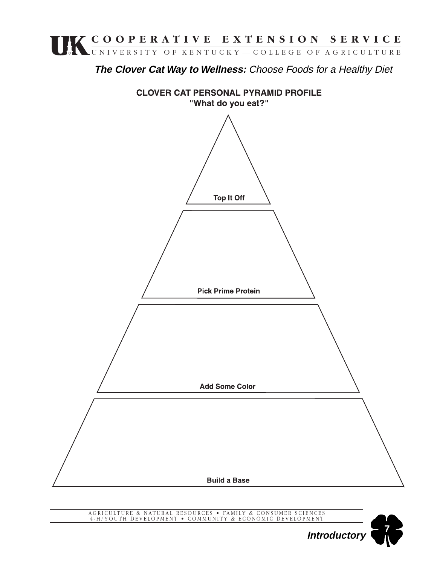

**The Clover Cat Way to Wellness:** Choose Foods for a Healthy Diet



AGRICULTURE & NATURAL RESOURCES • FAMILY & CONSUMER SCIENCES 4-H/YOUTH DEVELOPMENT • COMMUNITY & ECONOMIC DEVELOPMENT

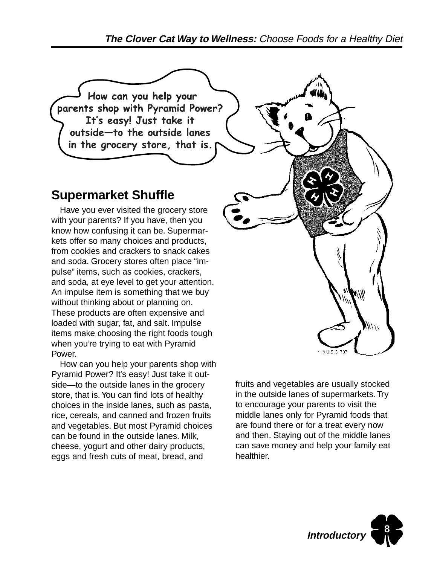How can you help your parents shop with Pyramid Power? It's easy! Just take it outside-to the outside lanes in the grocery store, that is.

# **Supermarket Shuffle**

Have you ever visited the grocery store with your parents? If you have, then you know how confusing it can be. Supermarkets offer so many choices and products, from cookies and crackers to snack cakes and soda. Grocery stores often place "impulse" items, such as cookies, crackers, and soda, at eye level to get your attention. An impulse item is something that we buy without thinking about or planning on. These products are often expensive and loaded with sugar, fat, and salt. Impulse items make choosing the right foods tough when you're trying to eat with Pyramid Power.

How can you help your parents shop with Pyramid Power? It's easy! Just take it outside—to the outside lanes in the grocery store, that is. You can find lots of healthy choices in the inside lanes, such as pasta, rice, cereals, and canned and frozen fruits and vegetables. But most Pyramid choices can be found in the outside lanes. Milk, cheese, yogurt and other dairy products, eggs and fresh cuts of meat, bread, and



fruits and vegetables are usually stocked in the outside lanes of supermarkets. Try to encourage your parents to visit the middle lanes only for Pyramid foods that are found there or for a treat every now and then. Staying out of the middle lanes can save money and help your family eat healthier.

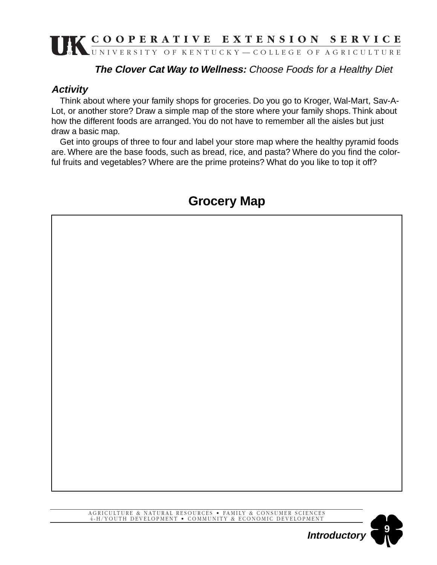# **The Clover Cat Way to Wellness:** Choose Foods for a Healthy Diet

### **Activity**

Think about where your family shops for groceries. Do you go to Kroger, Wal-Mart, Sav-A-Lot, or another store? Draw a simple map of the store where your family shops. Think about how the different foods are arranged. You do not have to remember all the aisles but just draw a basic map.

Get into groups of three to four and label your store map where the healthy pyramid foods are. Where are the base foods, such as bread, rice, and pasta? Where do you find the colorful fruits and vegetables? Where are the prime proteins? What do you like to top it off?

# **Grocery Map**



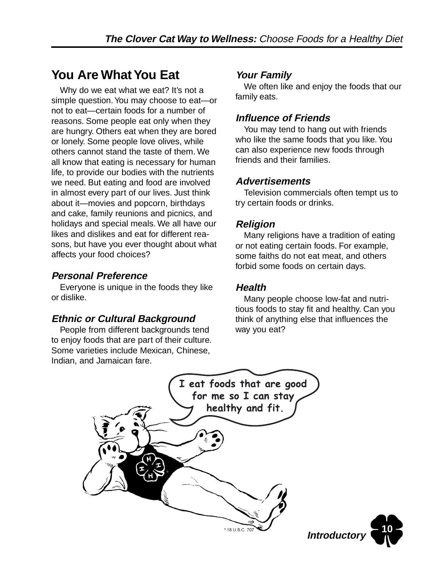# **You Are What You Eat**

Why do we eat what we eat? It's not a simple question. You may choose to eat—or not to eat—certain foods for a number of reasons. Some people eat only when they are hungry. Others eat when they are bored or lonely. Some people love olives, while others cannot stand the taste of them. We all know that eating is necessary for human life, to provide our bodies with the nutrients we need. But eating and food are involved in almost every part of our lives. Just think about it—movies and popcorn, birthdays and cake, family reunions and picnics, and holidays and special meals. We all have our likes and dislikes and eat for different reasons, but have you ever thought about what affects your food choices?

# **Personal Preference**

Everyone is unique in the foods they like or dislike.

### **Ethnic or Cultural Background**

People from different backgrounds tend to enjoy foods that are part of their culture. Some varieties include Mexican, Chinese, Indian, and Jamaican fare.

# **Your Family**

We often like and enjoy the foods that our family eats.

### **Influence of Friends**

You may tend to hang out with friends who like the same foods that you like. You can also experience new foods through friends and their families.

### **Advertisements**

Television commercials often tempt us to try certain foods or drinks.

### **Religion**

Many religions have a tradition of eating or not eating certain foods. For example, some faiths do not eat meat, and others forbid some foods on certain days.

### **Health**

Many people choose low-fat and nutritious foods to stay fit and healthy. Can you think of anything else that influences the way you eat?

**10**

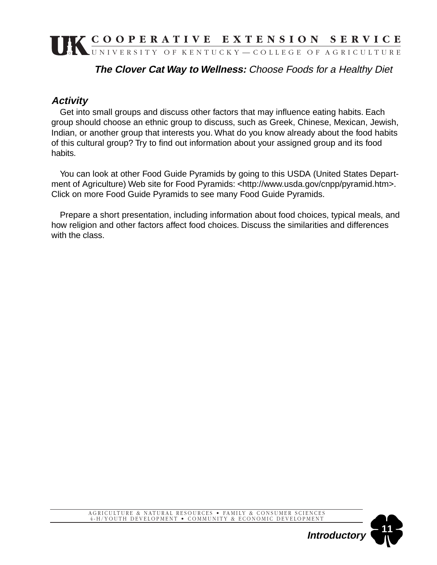# **The Clover Cat Way to Wellness:** Choose Foods for a Healthy Diet

# **Activity**

Get into small groups and discuss other factors that may influence eating habits. Each group should choose an ethnic group to discuss, such as Greek, Chinese, Mexican, Jewish, Indian, or another group that interests you. What do you know already about the food habits of this cultural group? Try to find out information about your assigned group and its food habits.

You can look at other Food Guide Pyramids by going to this USDA (United States Department of Agriculture) Web site for Food Pyramids: <http://www.usda.gov/cnpp/pyramid.htm>. Click on more Food Guide Pyramids to see many Food Guide Pyramids.

Prepare a short presentation, including information about food choices, typical meals, and how religion and other factors affect food choices. Discuss the similarities and differences with the class.

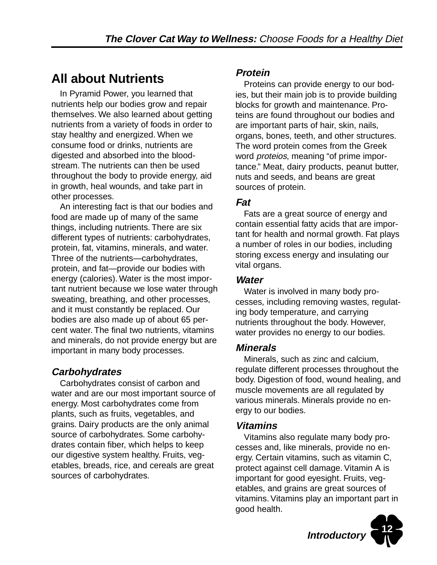# **All about Nutrients**

In Pyramid Power, you learned that nutrients help our bodies grow and repair themselves. We also learned about getting nutrients from a variety of foods in order to stay healthy and energized. When we consume food or drinks, nutrients are digested and absorbed into the bloodstream. The nutrients can then be used throughout the body to provide energy, aid in growth, heal wounds, and take part in other processes.

An interesting fact is that our bodies and food are made up of many of the same things, including nutrients. There are six different types of nutrients: carbohydrates, protein, fat, vitamins, minerals, and water. Three of the nutrients—carbohydrates, protein, and fat—provide our bodies with energy (calories). Water is the most important nutrient because we lose water through sweating, breathing, and other processes, and it must constantly be replaced. Our bodies are also made up of about 65 percent water. The final two nutrients, vitamins and minerals, do not provide energy but are important in many body processes.

# **Carbohydrates**

Carbohydrates consist of carbon and water and are our most important source of energy. Most carbohydrates come from plants, such as fruits, vegetables, and grains. Dairy products are the only animal source of carbohydrates. Some carbohydrates contain fiber, which helps to keep our digestive system healthy. Fruits, vegetables, breads, rice, and cereals are great sources of carbohydrates.

### **Protein**

Proteins can provide energy to our bodies, but their main job is to provide building blocks for growth and maintenance. Proteins are found throughout our bodies and are important parts of hair, skin, nails, organs, bones, teeth, and other structures. The word protein comes from the Greek word *proteios*, meaning "of prime importance." Meat, dairy products, peanut butter, nuts and seeds, and beans are great sources of protein.

### **Fat**

Fats are a great source of energy and contain essential fatty acids that are important for health and normal growth. Fat plays a number of roles in our bodies, including storing excess energy and insulating our vital organs.

### **Water**

Water is involved in many body processes, including removing wastes, regulating body temperature, and carrying nutrients throughout the body. However, water provides no energy to our bodies.

# **Minerals**

Minerals, such as zinc and calcium, regulate different processes throughout the body. Digestion of food, wound healing, and muscle movements are all regulated by various minerals. Minerals provide no energy to our bodies.

### **Vitamins**

Vitamins also regulate many body processes and, like minerals, provide no energy. Certain vitamins, such as vitamin C, protect against cell damage. Vitamin A is important for good eyesight. Fruits, vegetables, and grains are great sources of vitamins. Vitamins play an important part in good health.

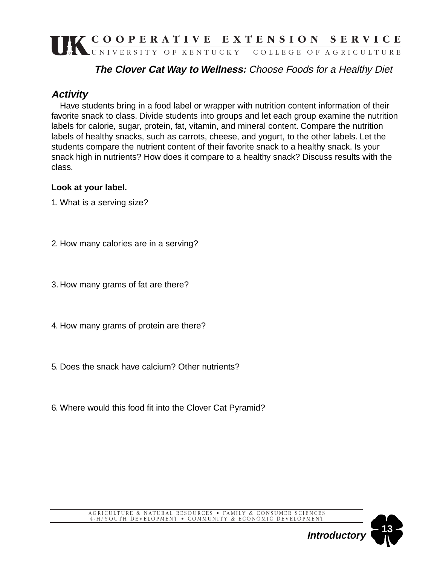# **The Clover Cat Way to Wellness:** Choose Foods for a Healthy Diet

### **Activity**

Have students bring in a food label or wrapper with nutrition content information of their favorite snack to class. Divide students into groups and let each group examine the nutrition labels for calorie, sugar, protein, fat, vitamin, and mineral content. Compare the nutrition labels of healthy snacks, such as carrots, cheese, and yogurt, to the other labels. Let the students compare the nutrient content of their favorite snack to a healthy snack. Is your snack high in nutrients? How does it compare to a healthy snack? Discuss results with the class.

#### **Look at your label.**

1. What is a serving size?

- 2. How many calories are in a serving?
- 3. How many grams of fat are there?
- 4. How many grams of protein are there?
- 5. Does the snack have calcium? Other nutrients?
- 6. Where would this food fit into the Clover Cat Pyramid?

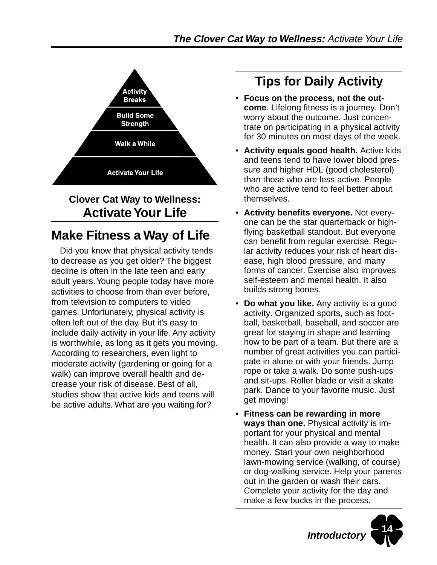

# **Clover Cat Way to Wellness: Activate Your Life**

# **Make Fitness a Way of Life**

Did you know that physical activity tends to decrease as you get older? The biggest decline is often in the late teen and early adult years. Young people today have more activities to choose from than ever before, from television to computers to video games. Unfortunately, physical activity is often left out of the day. But it's easy to include daily activity in your life. Any activity is worthwhile, as long as it gets you moving. According to researchers, even light to moderate activity (gardening or going for a walk) can improve overall health and decrease your risk of disease. Best of all, studies show that active kids and teens will be active adults. What are you waiting for?

# **Tips for Daily Activity**

- **Focus on the process, not the outcome**. Lifelong fitness is a journey. Don't worry about the outcome. Just concentrate on participating in a physical activity for 30 minutes on most days of the week.
- **Activity equals good health.** Active kids and teens tend to have lower blood pressure and higher HDL (good cholesterol) than those who are less active. People who are active tend to feel better about themselves.
- **Activity benefits everyone.** Not everyone can be the star quarterback or highflying basketball standout. But everyone can benefit from regular exercise. Regular activity reduces your risk of heart disease, high blood pressure, and many forms of cancer. Exercise also improves self-esteem and mental health. It also builds strong bones.
- **Do what you like.** Any activity is a good activity. Organized sports, such as football, basketball, baseball, and soccer are great for staying in shape and learning how to be part of a team. But there are a number of great activities you can participate in alone or with your friends. Jump rope or take a walk. Do some push-ups and sit-ups. Roller blade or visit a skate park. Dance to your favorite music. Just get moving!
- **Fitness can be rewarding in more ways than one.** Physical activity is important for your physical and mental health. It can also provide a way to make money. Start your own neighborhood lawn-mowing service (walking, of course) or dog-walking service. Help your parents out in the garden or wash their cars. Complete your activity for the day and make a few bucks in the process.

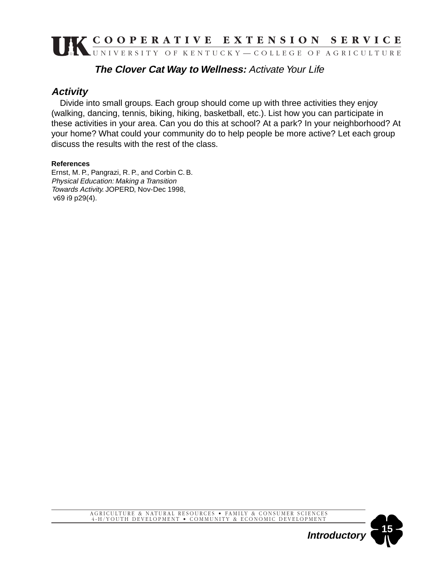### **The Clover Cat Way to Wellness:** Activate Your Life

### **Activity**

Divide into small groups. Each group should come up with three activities they enjoy (walking, dancing, tennis, biking, hiking, basketball, etc.). List how you can participate in these activities in your area. Can you do this at school? At a park? In your neighborhood? At your home? What could your community do to help people be more active? Let each group discuss the results with the rest of the class.

#### **References**

Ernst, M. P., Pangrazi, R. P., and Corbin C. B. Physical Education: Making a Transition Towards Activity. JOPERD, Nov-Dec 1998, v69 i9 p29(4).

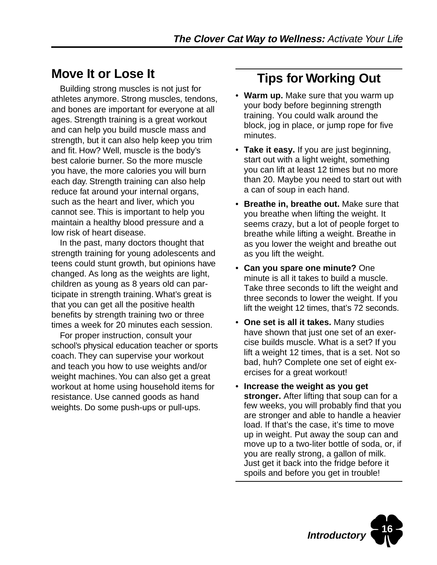# **Move It or Lose It**

Building strong muscles is not just for athletes anymore. Strong muscles, tendons, and bones are important for everyone at all ages. Strength training is a great workout and can help you build muscle mass and strength, but it can also help keep you trim and fit. How? Well, muscle is the body's best calorie burner. So the more muscle you have, the more calories you will burn each day. Strength training can also help reduce fat around your internal organs, such as the heart and liver, which you cannot see. This is important to help you maintain a healthy blood pressure and a low risk of heart disease.

In the past, many doctors thought that strength training for young adolescents and teens could stunt growth, but opinions have changed. As long as the weights are light, children as young as 8 years old can participate in strength training. What's great is that you can get all the positive health benefits by strength training two or three times a week for 20 minutes each session.

For proper instruction, consult your school's physical education teacher or sports coach. They can supervise your workout and teach you how to use weights and/or weight machines. You can also get a great workout at home using household items for resistance. Use canned goods as hand weights. Do some push-ups or pull-ups.

# **Tips for Working Out**

- **Warm up.** Make sure that you warm up your body before beginning strength training. You could walk around the block, jog in place, or jump rope for five minutes.
- **Take it easy.** If you are just beginning, start out with a light weight, something you can lift at least 12 times but no more than 20. Maybe you need to start out with a can of soup in each hand.
- **Breathe in, breathe out.** Make sure that you breathe when lifting the weight. It seems crazy, but a lot of people forget to breathe while lifting a weight. Breathe in as you lower the weight and breathe out as you lift the weight.
- **Can you spare one minute?** One minute is all it takes to build a muscle. Take three seconds to lift the weight and three seconds to lower the weight. If you lift the weight 12 times, that's 72 seconds.
- **One set is all it takes.** Many studies have shown that just one set of an exercise builds muscle. What is a set? If you lift a weight 12 times, that is a set. Not so bad, huh? Complete one set of eight exercises for a great workout!
- **Increase the weight as you get stronger.** After lifting that soup can for a few weeks, you will probably find that you are stronger and able to handle a heavier load. If that's the case, it's time to move up in weight. Put away the soup can and move up to a two-liter bottle of soda, or, if you are really strong, a gallon of milk. Just get it back into the fridge before it spoils and before you get in trouble!

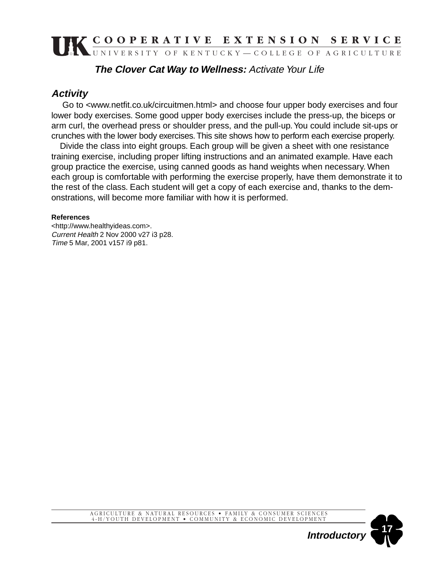### **The Clover Cat Way to Wellness:** Activate Your Life

### **Activity**

 Go to <www.netfit.co.uk/circuitmen.html> and choose four upper body exercises and four lower body exercises. Some good upper body exercises include the press-up, the biceps or arm curl, the overhead press or shoulder press, and the pull-up. You could include sit-ups or crunches with the lower body exercises. This site shows how to perform each exercise properly.

Divide the class into eight groups. Each group will be given a sheet with one resistance training exercise, including proper lifting instructions and an animated example. Have each group practice the exercise, using canned goods as hand weights when necessary. When each group is comfortable with performing the exercise properly, have them demonstrate it to the rest of the class. Each student will get a copy of each exercise and, thanks to the demonstrations, will become more familiar with how it is performed.

#### **References**

<http://www.healthyideas.com>. Current Health 2 Nov 2000 v27 i3 p28. Time 5 Mar, 2001 v157 i9 p81.

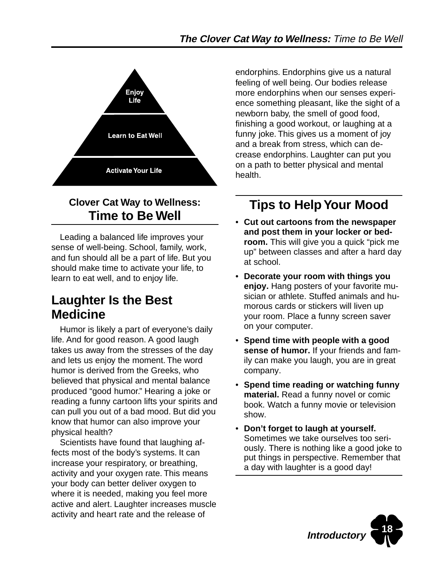

# **Clover Cat Way to Wellness: Time to Be Well**

Leading a balanced life improves your sense of well-being. School, family, work, and fun should all be a part of life. But you should make time to activate your life, to learn to eat well, and to enjoy life.

# **Laughter Is the Best Medicine**

Humor is likely a part of everyone's daily life. And for good reason. A good laugh takes us away from the stresses of the day and lets us enjoy the moment. The word humor is derived from the Greeks, who believed that physical and mental balance produced "good humor." Hearing a joke or reading a funny cartoon lifts your spirits and can pull you out of a bad mood. But did you know that humor can also improve your physical health?

Scientists have found that laughing affects most of the body's systems. It can increase your respiratory, or breathing, activity and your oxygen rate. This means your body can better deliver oxygen to where it is needed, making you feel more active and alert. Laughter increases muscle activity and heart rate and the release of

endorphins. Endorphins give us a natural feeling of well being. Our bodies release more endorphins when our senses experience something pleasant, like the sight of a newborn baby, the smell of good food, finishing a good workout, or laughing at a funny joke. This gives us a moment of joy and a break from stress, which can decrease endorphins. Laughter can put you on a path to better physical and mental health.

# **Tips to Help Your Mood**

- **Cut out cartoons from the newspaper and post them in your locker or bedroom.** This will give you a quick "pick me up" between classes and after a hard day at school.
- **Decorate your room with things you enjoy.** Hang posters of your favorite musician or athlete. Stuffed animals and humorous cards or stickers will liven up your room. Place a funny screen saver on your computer.
- **Spend time with people with a good sense of humor.** If your friends and family can make you laugh, you are in great company.
- **Spend time reading or watching funny material.** Read a funny novel or comic book. Watch a funny movie or television show.
- **Don't forget to laugh at yourself.** Sometimes we take ourselves too seriously. There is nothing like a good joke to put things in perspective. Remember that a day with laughter is a good day!

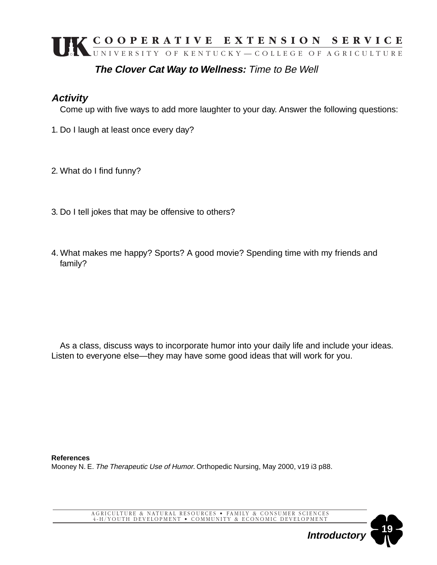# **The Clover Cat Way to Wellness:** Time to Be Well

### **Activity**

Come up with five ways to add more laughter to your day. Answer the following questions:

- 1. Do I laugh at least once every day?
- 2. What do I find funny?
- 3. Do I tell jokes that may be offensive to others?
- 4. What makes me happy? Sports? A good movie? Spending time with my friends and family?

As a class, discuss ways to incorporate humor into your daily life and include your ideas. Listen to everyone else—they may have some good ideas that will work for you.

**References** Mooney N. E. The Therapeutic Use of Humor. Orthopedic Nursing, May 2000, v19 i3 p88.

AGRICULTURE & NATURAL RESOURCES • FAMILY & CONSUMER SCIENCES 4-H/YOUTH DEVELOPMENT • COMMUNITY & ECONOMIC DEVELOPMENT

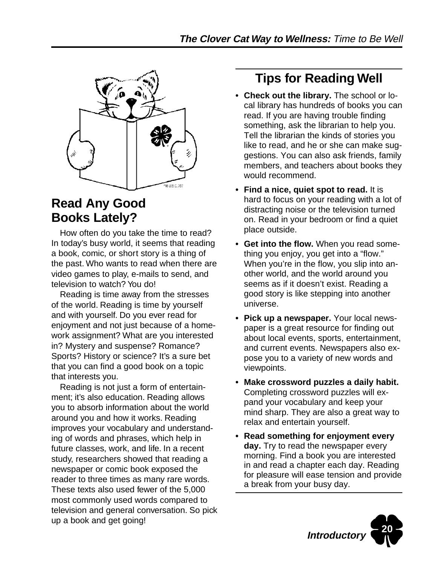

# **Read Any Good Books Lately?**

How often do you take the time to read? In today's busy world, it seems that reading a book, comic, or short story is a thing of the past. Who wants to read when there are video games to play, e-mails to send, and television to watch? You do!

Reading is time away from the stresses of the world. Reading is time by yourself and with yourself. Do you ever read for enjoyment and not just because of a homework assignment? What are you interested in? Mystery and suspense? Romance? Sports? History or science? It's a sure bet that you can find a good book on a topic that interests you.

Reading is not just a form of entertainment; it's also education. Reading allows you to absorb information about the world around you and how it works. Reading improves your vocabulary and understanding of words and phrases, which help in future classes, work, and life. In a recent study, researchers showed that reading a newspaper or comic book exposed the reader to three times as many rare words. These texts also used fewer of the 5,000 most commonly used words compared to television and general conversation. So pick up a book and get going!

# **Tips for Reading Well**

- **Check out the library.** The school or local library has hundreds of books you can read. If you are having trouble finding something, ask the librarian to help you. Tell the librarian the kinds of stories you like to read, and he or she can make suggestions. You can also ask friends, family members, and teachers about books they would recommend.
- **Find a nice, quiet spot to read.** It is hard to focus on your reading with a lot of distracting noise or the television turned on. Read in your bedroom or find a quiet place outside.
- **Get into the flow.** When you read something you enjoy, you get into a "flow." When you're in the flow, you slip into another world, and the world around you seems as if it doesn't exist. Reading a good story is like stepping into another universe.
- **Pick up a newspaper.** Your local newspaper is a great resource for finding out about local events, sports, entertainment, and current events. Newspapers also expose you to a variety of new words and viewpoints.
- **Make crossword puzzles a daily habit.** Completing crossword puzzles will expand your vocabulary and keep your mind sharp. They are also a great way to relax and entertain yourself.
- **Read something for enjoyment every day.** Try to read the newspaper every morning. Find a book you are interested in and read a chapter each day. Reading for pleasure will ease tension and provide a break from your busy day.

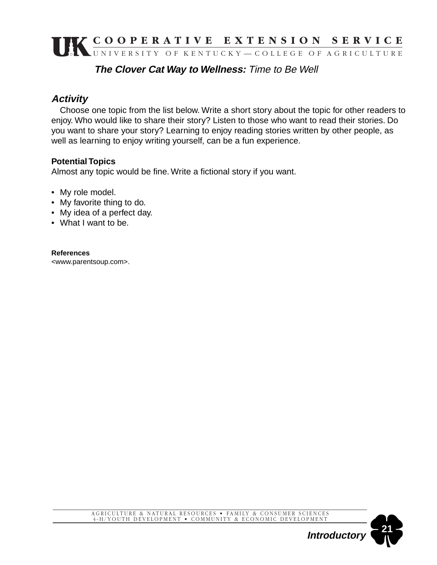### **The Clover Cat Way to Wellness:** Time to Be Well

# **Activity**

Choose one topic from the list below. Write a short story about the topic for other readers to enjoy. Who would like to share their story? Listen to those who want to read their stories. Do you want to share your story? Learning to enjoy reading stories written by other people, as well as learning to enjoy writing yourself, can be a fun experience.

#### **Potential Topics**

Almost any topic would be fine. Write a fictional story if you want.

- My role model.
- My favorite thing to do.
- My idea of a perfect day.
- What I want to be.

#### **References**

<www.parentsoup.com>.

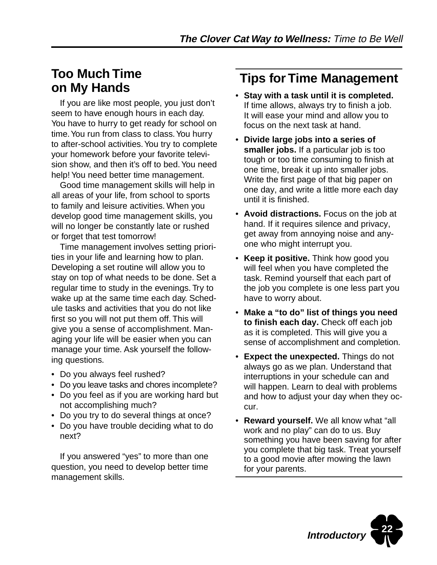# **Too Much Time on My Hands**

If you are like most people, you just don't seem to have enough hours in each day. You have to hurry to get ready for school on time. You run from class to class. You hurry to after-school activities. You try to complete your homework before your favorite television show, and then it's off to bed. You need help! You need better time management.

Good time management skills will help in all areas of your life, from school to sports to family and leisure activities. When you develop good time management skills, you will no longer be constantly late or rushed or forget that test tomorrow!

Time management involves setting priorities in your life and learning how to plan. Developing a set routine will allow you to stay on top of what needs to be done. Set a regular time to study in the evenings. Try to wake up at the same time each day. Schedule tasks and activities that you do not like first so you will not put them off. This will give you a sense of accomplishment. Managing your life will be easier when you can manage your time. Ask yourself the following questions.

- Do you always feel rushed?
- Do you leave tasks and chores incomplete?
- Do you feel as if you are working hard but not accomplishing much?
- Do you try to do several things at once?
- Do you have trouble deciding what to do next?

If you answered "yes" to more than one question, you need to develop better time management skills.

# **Tips for Time Management**

- **Stay with a task until it is completed.** If time allows, always try to finish a job. It will ease your mind and allow you to focus on the next task at hand.
- **Divide large jobs into a series of smaller jobs.** If a particular job is too tough or too time consuming to finish at one time, break it up into smaller jobs. Write the first page of that big paper on one day, and write a little more each day until it is finished.
- **Avoid distractions.** Focus on the job at hand. If it requires silence and privacy, get away from annoying noise and anyone who might interrupt you.
- **Keep it positive.** Think how good you will feel when you have completed the task. Remind yourself that each part of the job you complete is one less part you have to worry about.
- **Make a "to do" list of things you need to finish each day.** Check off each job as it is completed. This will give you a sense of accomplishment and completion.
- **Expect the unexpected.** Things do not always go as we plan. Understand that interruptions in your schedule can and will happen. Learn to deal with problems and how to adjust your day when they occur.
- **Reward yourself.** We all know what "all work and no play" can do to us. Buy something you have been saving for after you complete that big task. Treat yourself to a good movie after mowing the lawn for your parents.

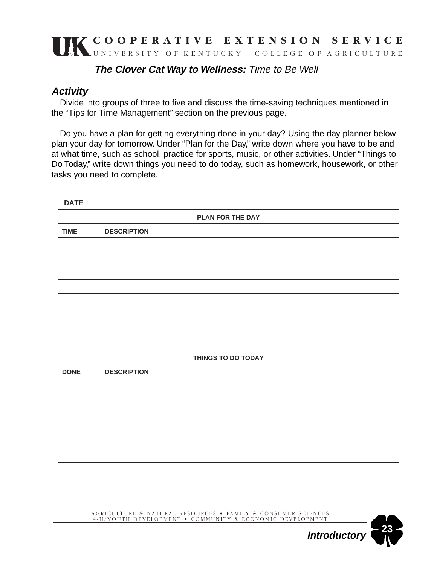### **The Clover Cat Way to Wellness:** Time to Be Well

### **Activity**

Divide into groups of three to five and discuss the time-saving techniques mentioned in the "Tips for Time Management" section on the previous page.

Do you have a plan for getting everything done in your day? Using the day planner below plan your day for tomorrow. Under "Plan for the Day," write down where you have to be and at what time, such as school, practice for sports, music, or other activities. Under "Things to Do Today," write down things you need to do today, such as homework, housework, or other tasks you need to complete.

#### **DATE**

| PLAN FOR THE DAY |                    |  |
|------------------|--------------------|--|
| <b>TIME</b>      | <b>DESCRIPTION</b> |  |
|                  |                    |  |
|                  |                    |  |
|                  |                    |  |
|                  |                    |  |
|                  |                    |  |
|                  |                    |  |
|                  |                    |  |
|                  |                    |  |

#### **THINGS TO DO TODAY**

| <b>DONE</b> | <b>DESCRIPTION</b> |
|-------------|--------------------|
|             |                    |
|             |                    |
|             |                    |
|             |                    |
|             |                    |
|             |                    |
|             |                    |
|             |                    |

AGRICULTURE & NATURAL RESOURCES • FAMILY & CONSUMER SCIENCES 4-H/YOUTH DEVELOPMENT • COMMUNITY & ECONOMIC DEVELOPMENT

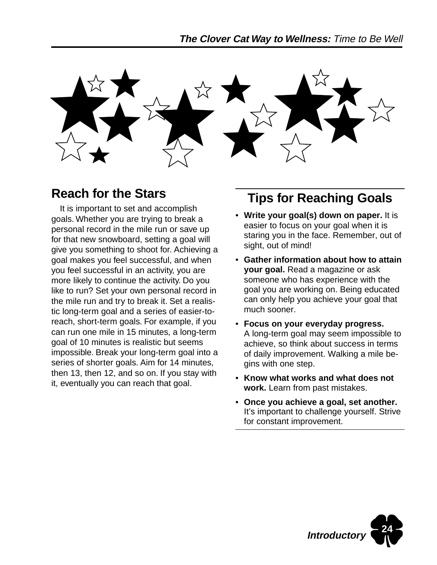

# **Reach for the Stars**

It is important to set and accomplish goals. Whether you are trying to break a personal record in the mile run or save up for that new snowboard, setting a goal will give you something to shoot for. Achieving a goal makes you feel successful, and when you feel successful in an activity, you are more likely to continue the activity. Do you like to run? Set your own personal record in the mile run and try to break it. Set a realistic long-term goal and a series of easier-toreach, short-term goals. For example, if you can run one mile in 15 minutes, a long-term goal of 10 minutes is realistic but seems impossible. Break your long-term goal into a series of shorter goals. Aim for 14 minutes, then 13, then 12, and so on. If you stay with it, eventually you can reach that goal.

# **Tips for Reaching Goals**

- **Write your goal(s) down on paper.** It is easier to focus on your goal when it is staring you in the face. Remember, out of sight, out of mind!
- **Gather information about how to attain your goal.** Read a magazine or ask someone who has experience with the goal you are working on. Being educated can only help you achieve your goal that much sooner.
- **Focus on your everyday progress.** A long-term goal may seem impossible to achieve, so think about success in terms of daily improvement. Walking a mile begins with one step.
- **Know what works and what does not work.** Learn from past mistakes.
- **Once you achieve a goal, set another.** It's important to challenge yourself. Strive for constant improvement.

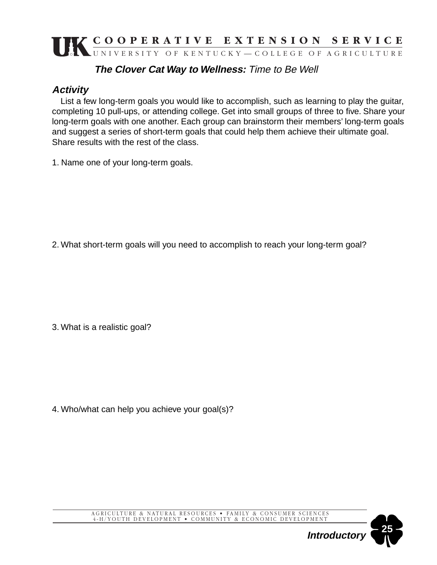# **The Clover Cat Way to Wellness:** Time to Be Well

# **Activity**

List a few long-term goals you would like to accomplish, such as learning to play the guitar, completing 10 pull-ups, or attending college. Get into small groups of three to five. Share your long-term goals with one another. Each group can brainstorm their members' long-term goals and suggest a series of short-term goals that could help them achieve their ultimate goal. Share results with the rest of the class.

1. Name one of your long-term goals.

2. What short-term goals will you need to accomplish to reach your long-term goal?

3. What is a realistic goal?

4. Who/what can help you achieve your goal(s)?